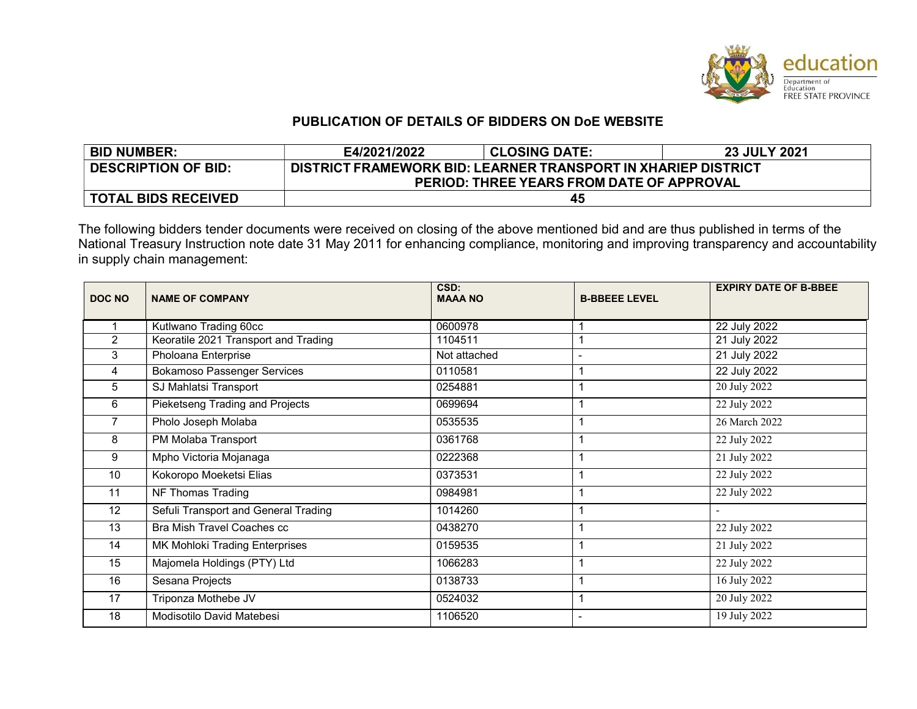

# PUBLICATION OF DETAILS OF BIDDERS ON DoE WEBSITE

| <b>BID NUMBER:</b>         | E4/2021/2022                                                  | <b>CLOSING DATE:</b> | 23 JULY 2021 |  |  |  |
|----------------------------|---------------------------------------------------------------|----------------------|--------------|--|--|--|
| <b>DESCRIPTION OF BID:</b> | DISTRICT FRAMEWORK BID: LEARNER TRANSPORT IN XHARIEP DISTRICT |                      |              |  |  |  |
|                            | PERIOD: THREE YEARS FROM DATE OF APPROVAL                     |                      |              |  |  |  |
| <b>TOTAL BIDS RECEIVED</b> | 45                                                            |                      |              |  |  |  |

The following bidders tender documents were received on closing of the above mentioned bid and are thus published in terms of the National Treasury Instruction note date 31 May 2011 for enhancing compliance, monitoring and improving transparency and accountability in supply chain management:

| <b>DOC NO</b>  | <b>NAME OF COMPANY</b>               | CSD:<br><b>MAAA NO</b> | <b>B-BBEEE LEVEL</b>     | <b>EXPIRY DATE OF B-BBEE</b> |
|----------------|--------------------------------------|------------------------|--------------------------|------------------------------|
|                | Kutlwano Trading 60cc                | 0600978                |                          | 22 July 2022                 |
| $\overline{2}$ | Keoratile 2021 Transport and Trading | 1104511                |                          | 21 July 2022                 |
| 3              | Pholoana Enterprise                  | Not attached           | $\overline{\phantom{a}}$ | 21 July 2022                 |
| 4              | <b>Bokamoso Passenger Services</b>   | 0110581                |                          | 22 July 2022                 |
| 5              | SJ Mahlatsi Transport                | 0254881                |                          | 20 July 2022                 |
| 6              | Pieketseng Trading and Projects      | 0699694                |                          | 22 July 2022                 |
| $\overline{7}$ | Pholo Joseph Molaba                  | 0535535                |                          | 26 March 2022                |
| 8              | PM Molaba Transport                  | 0361768                |                          | 22 July 2022                 |
| 9              | Mpho Victoria Mojanaga               | 0222368                |                          | 21 July 2022                 |
| 10             | Kokoropo Moeketsi Elias              | 0373531                |                          | 22 July 2022                 |
| 11             | NF Thomas Trading                    | 0984981                |                          | 22 July 2022                 |
| 12             | Sefuli Transport and General Trading | 1014260                |                          |                              |
| 13             | Bra Mish Travel Coaches cc           | 0438270                |                          | 22 July 2022                 |
| 14             | MK Mohloki Trading Enterprises       | 0159535                |                          | 21 July 2022                 |
| 15             | Majomela Holdings (PTY) Ltd          | 1066283                |                          | $\overline{22}$ July 2022    |
| 16             | Sesana Projects                      | 0138733                |                          | 16 July 2022                 |
| 17             | Triponza Mothebe JV                  | 0524032                |                          | 20 July 2022                 |
| 18             | Modisotilo David Matebesi            | 1106520                | $\overline{\phantom{a}}$ | 19 July 2022                 |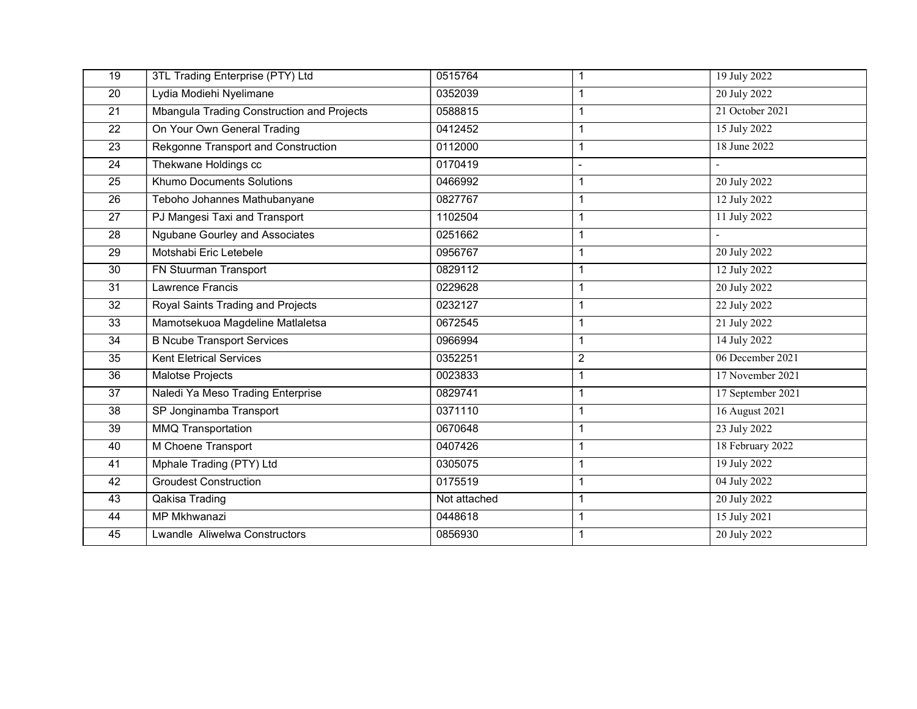| 19              | 3TL Trading Enterprise (PTY) Ltd           | 0515764      | 1              | 19 July 2022      |
|-----------------|--------------------------------------------|--------------|----------------|-------------------|
| 20              | Lydia Modiehi Nyelimane                    | 0352039      |                | 20 July 2022      |
| 21              | Mbangula Trading Construction and Projects | 0588815      | 1              | 21 October 2021   |
| 22              | On Your Own General Trading                | 0412452      | 1              | 15 July 2022      |
| 23              | Rekgonne Transport and Construction        | 0112000      | 1              | 18 June 2022      |
| $\overline{24}$ | Thekwane Holdings cc                       | 0170419      | $\overline{a}$ |                   |
| 25              | Khumo Documents Solutions                  | 0466992      | 1              | 20 July 2022      |
| 26              | Teboho Johannes Mathubanyane               | 0827767      | 1              | 12 July 2022      |
| 27              | PJ Mangesi Taxi and Transport              | 1102504      | 1              | 11 July 2022      |
| $\overline{28}$ | <b>Ngubane Gourley and Associates</b>      | 0251662      | 1              |                   |
| 29              | Motshabi Eric Letebele                     | 0956767      | 1              | 20 July 2022      |
| 30              | FN Stuurman Transport                      | 0829112      | 1              | 12 July 2022      |
| 31              | Lawrence Francis                           | 0229628      | 1              | 20 July 2022      |
| 32              | Royal Saints Trading and Projects          | 0232127      | 1              | 22 July 2022      |
| 33              | Mamotsekuoa Magdeline Matlaletsa           | 0672545      | 1              | 21 July 2022      |
| 34              | <b>B Ncube Transport Services</b>          | 0966994      | 1              | 14 July 2022      |
| 35              | <b>Kent Eletrical Services</b>             | 0352251      | $\overline{2}$ | 06 December 2021  |
| 36              | <b>Malotse Projects</b>                    | 0023833      | 1              | 17 November 2021  |
| 37              | Naledi Ya Meso Trading Enterprise          | 0829741      |                | 17 September 2021 |
| 38              | SP Jonginamba Transport                    | 0371110      | 1              | 16 August 2021    |
| 39              | <b>MMQ Transportation</b>                  | 0670648      | 1              | 23 July 2022      |
| 40              | M Choene Transport                         | 0407426      | 1              | 18 February 2022  |
| 41              | Mphale Trading (PTY) Ltd                   | 0305075      | 1              | 19 July 2022      |
| 42              | <b>Groudest Construction</b>               | 0175519      | 1              | 04 July 2022      |
| 43              | Qakisa Trading                             | Not attached | 1              | 20 July 2022      |
| 44              | MP Mkhwanazi                               | 0448618      | 1              | 15 July 2021      |
| 45              | Lwandle Aliwelwa Constructors              | 0856930      | 1              | 20 July 2022      |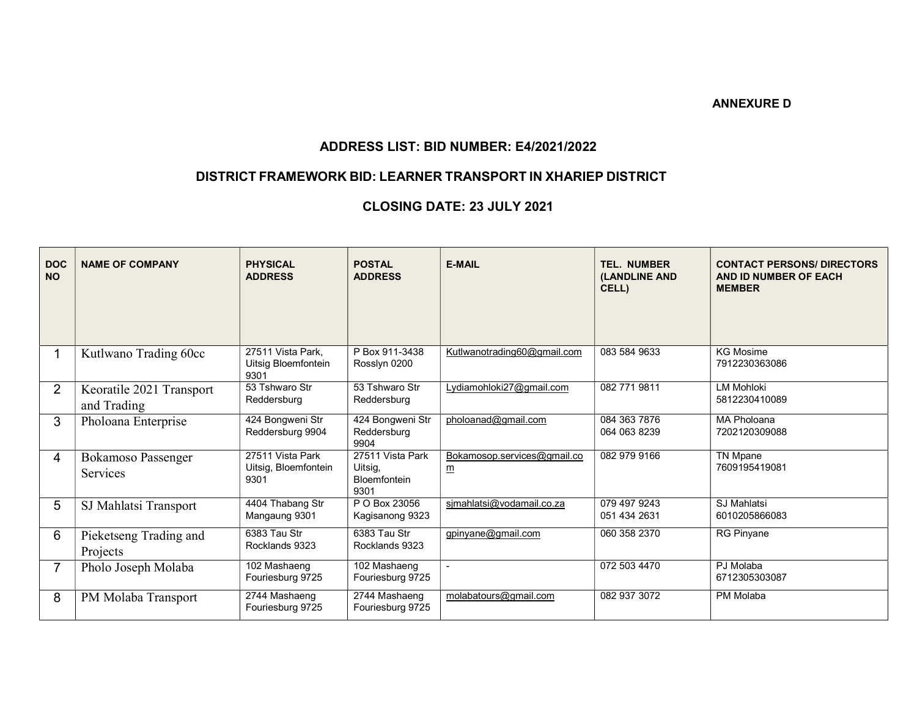#### ANNEXURE D

### ADDRESS LIST: BID NUMBER: E4/2021/2022

# DISTRICT FRAMEWORK BID: LEARNER TRANSPORT IN XHARIEP DISTRICT

# CLOSING DATE: 23 JULY 2021

| <b>DOC</b><br><b>NO</b> | <b>NAME OF COMPANY</b>                  | <b>PHYSICAL</b><br><b>ADDRESS</b>                | <b>POSTAL</b><br><b>ADDRESS</b>                            | <b>E-MAIL</b>                                  | <b>TEL. NUMBER</b><br><b>(LANDLINE AND</b><br>CELL) | <b>CONTACT PERSONS/ DIRECTORS</b><br>AND ID NUMBER OF EACH<br><b>MEMBER</b> |
|-------------------------|-----------------------------------------|--------------------------------------------------|------------------------------------------------------------|------------------------------------------------|-----------------------------------------------------|-----------------------------------------------------------------------------|
|                         | Kutlwano Trading 60cc                   | 27511 Vista Park,<br>Uitsig Bloemfontein<br>9301 | P Box 911-3438<br>Rosslyn 0200                             | Kutlwanotrading60@gmail.com                    | 083 584 9633                                        | <b>KG Mosime</b><br>7912230363086                                           |
| $\overline{2}$          | Keoratile 2021 Transport<br>and Trading | 53 Tshwaro Str<br>Reddersburg                    | 53 Tshwaro Str<br>Reddersburg                              | Lydiamohloki27@gmail.com                       | 082 771 9811                                        | <b>LM Mohloki</b><br>5812230410089                                          |
| 3                       | Pholoana Enterprise                     | 424 Bongweni Str<br>Reddersburg 9904             | 424 Bongweni Str<br>Reddersburg<br>9904                    | pholoanad@gmail.com                            | 084 363 7876<br>064 063 8239                        | <b>MA Pholoana</b><br>7202120309088                                         |
| 4                       | <b>Bokamoso Passenger</b><br>Services   | 27511 Vista Park<br>Uitsig, Bloemfontein<br>9301 | 27511 Vista Park<br>Uitsig.<br><b>Bloemfontein</b><br>9301 | Bokamosop.services@gmail.co<br>$\underline{m}$ | 082 979 9166                                        | <b>TN Mpane</b><br>7609195419081                                            |
| 5                       | SJ Mahlatsi Transport                   | 4404 Thabang Str<br>Mangaung 9301                | P O Box 23056<br>Kagisanong 9323                           | simahlatsi@vodamail.co.za                      | 079 497 9243<br>051 434 2631                        | SJ Mahlatsi<br>6010205866083                                                |
| 6                       | Pieketseng Trading and<br>Projects      | 6383 Tau Str<br>Rocklands 9323                   | 6383 Tau Str<br>Rocklands 9323                             | gpinyane@gmail.com                             | 060 358 2370                                        | <b>RG Pinyane</b>                                                           |
| $\overline{7}$          | Pholo Joseph Molaba                     | 102 Mashaeng<br>Fouriesburg 9725                 | 102 Mashaeng<br>Fouriesburg 9725                           |                                                | 072 503 4470                                        | PJ Molaba<br>6712305303087                                                  |
| 8                       | PM Molaba Transport                     | 2744 Mashaeng<br>Fouriesburg 9725                | 2744 Mashaeng<br>Fouriesburg 9725                          | molabatours@gmail.com                          | 082 937 3072                                        | PM Molaba                                                                   |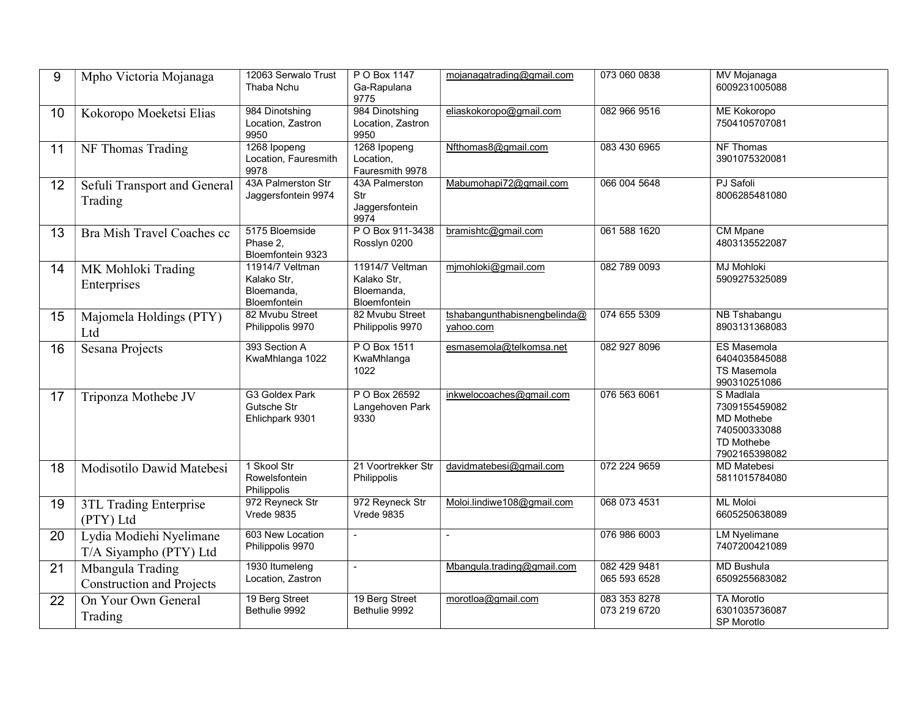| 9  | Mpho Victoria Mojanaga                               | 12063 Serwalo Trust<br>Thaba Nchu                                   | P O Box 1147<br>Ga-Rapulana<br>9775                          | mojanagatrading@gmail.com                 | 073 060 0838                 | MV Mojanaga<br>6009231005088                                                                          |
|----|------------------------------------------------------|---------------------------------------------------------------------|--------------------------------------------------------------|-------------------------------------------|------------------------------|-------------------------------------------------------------------------------------------------------|
| 10 | Kokoropo Moeketsi Elias                              | 984 Dinotshing<br>Location, Zastron<br>9950                         | 984 Dinotshing<br>Location, Zastron<br>9950                  | eliaskokoropo@gmail.com                   | 082 966 9516                 | <b>ME Kokoropo</b><br>7504105707081                                                                   |
| 11 | NF Thomas Trading                                    | 1268 Ipopeng<br>Location, Fauresmith<br>9978                        | 1268 Ipopeng<br>Location,<br>Fauresmith 9978                 | Nfthomas8@gmail.com                       | 083 430 6965                 | NF Thomas<br>3901075320081                                                                            |
| 12 | Sefuli Transport and General<br>Trading              | 43A Palmerston Str<br>Jaggersfontein 9974                           | 43A Palmerston<br>Str<br>Jaggersfontein<br>9974              | Mabumohapi72@gmail.com                    | 066 004 5648                 | PJ Safoli<br>8006285481080                                                                            |
| 13 | Bra Mish Travel Coaches cc                           | 5175 Bloemside<br>Phase 2.<br>Bloemfontein 9323                     | P O Box 911-3438<br>Rosslyn 0200                             | bramishtc@gmail.com                       | 061 588 1620                 | <b>CM Mpane</b><br>4803135522087                                                                      |
| 14 | MK Mohloki Trading<br>Enterprises                    | 11914/7 Veltman<br>Kalako Str,<br>Bloemanda,<br><b>Bloemfontein</b> | 11914/7 Veltman<br>Kalako Str,<br>Bloemanda,<br>Bloemfontein | mjmohloki@gmail.com                       | 082 789 0093                 | <b>MJ Mohloki</b><br>5909275325089                                                                    |
| 15 | Majomela Holdings (PTY)<br>Ltd                       | 82 Mvubu Street<br>Philippolis 9970                                 | 82 Mvubu Street<br>Philippolis 9970                          | tshabangunthabisnengbelinda@<br>vahoo.com | 074 655 5309                 | NB Tshabangu<br>8903131368083                                                                         |
| 16 | Sesana Projects                                      | 393 Section A<br>KwaMhlanga 1022                                    | P O Box 1511<br>KwaMhlanga<br>1022                           | esmasemola@telkomsa.net                   | 082 927 8096                 | <b>ES Masemola</b><br>6404035845088<br><b>TS Masemola</b><br>990310251086                             |
| 17 | Triponza Mothebe JV                                  | G3 Goldex Park<br>Gutsche Str<br>Ehlichpark 9301                    | P O Box 26592<br>Langehoven Park<br>9330                     | inkwelocoaches@gmail.com                  | 076 563 6061                 | S Madlala<br>7309155459082<br><b>MD Mothebe</b><br>740500333088<br><b>TD Mothebe</b><br>7902165398082 |
| 18 | Modisotilo Dawid Matebesi                            | 1 Skool Str<br>Rowelsfontein<br>Philippolis                         | 21 Voortrekker Str<br>Philippolis                            | davidmatebesi@gmail.com                   | 072 224 9659                 | <b>MD Matebesi</b><br>5811015784080                                                                   |
| 19 | 3TL Trading Enterprise<br>(PTY) Ltd                  | 972 Reyneck Str<br><b>Vrede 9835</b>                                | 972 Reyneck Str<br><b>Vrede 9835</b>                         | Moloi.lindiwe108@gmail.com                | 068 073 4531                 | <b>ML Moloi</b><br>6605250638089                                                                      |
| 20 | Lydia Modiehi Nyelimane<br>T/A Siyampho (PTY) Ltd    | 603 New Location<br>Philippolis 9970                                | $\blacksquare$                                               | $\blacksquare$                            | 076 986 6003                 | <b>LM Nyelimane</b><br>7407200421089                                                                  |
| 21 | Mbangula Trading<br><b>Construction and Projects</b> | 1930 Itumeleng<br>Location, Zastron                                 | $\blacksquare$                                               | Mbangula.trading@gmail.com                | 082 429 9481<br>065 593 6528 | <b>MD Bushula</b><br>6509255683082                                                                    |
| 22 | On Your Own General<br>Trading                       | 19 Berg Street<br>Bethulie 9992                                     | 19 Berg Street<br>Bethulie 9992                              | morotloa@gmail.com                        | 083 353 8278<br>073 219 6720 | <b>TA Morotlo</b><br>6301035736087<br>SP Morotlo                                                      |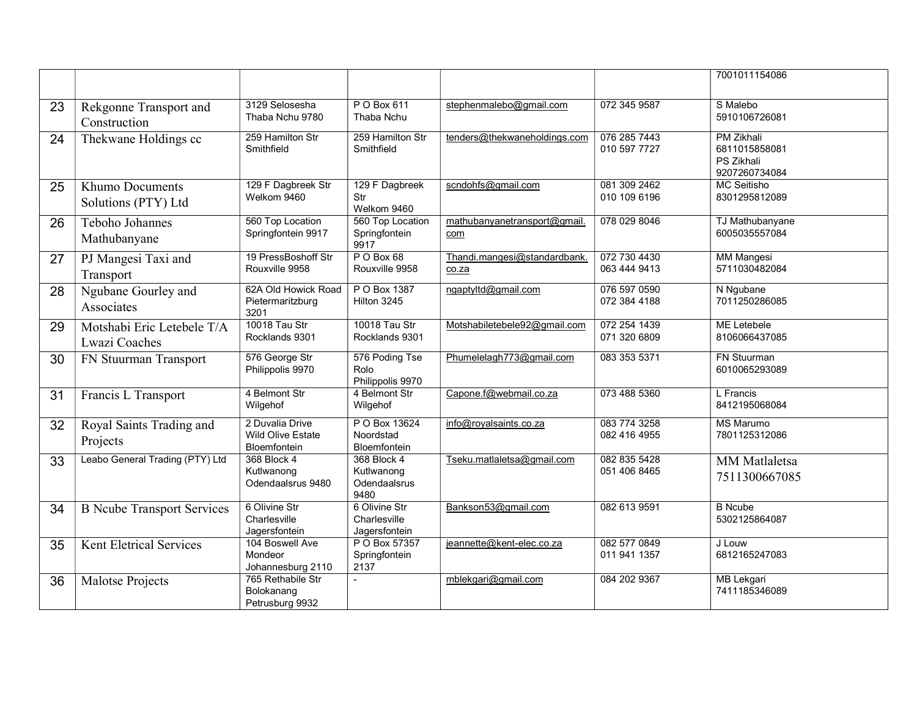|    |                                               |                                                                    |                                                   |                                                                     |                              | 7001011154086                                                     |
|----|-----------------------------------------------|--------------------------------------------------------------------|---------------------------------------------------|---------------------------------------------------------------------|------------------------------|-------------------------------------------------------------------|
| 23 | Rekgonne Transport and<br>Construction        | 3129 Selosesha<br>Thaba Nchu 9780                                  | P O Box 611<br>Thaba Nchu                         | stephenmalebo@gmail.com                                             | 072 345 9587                 | S Malebo<br>5910106726081                                         |
| 24 | Thekwane Holdings cc                          | 259 Hamilton Str<br>Smithfield                                     | 259 Hamilton Str<br>Smithfield                    | tenders@thekwaneholdings.com                                        | 076 285 7443<br>010 597 7727 | <b>PM Zikhali</b><br>6811015858081<br>PS Zikhali<br>9207260734084 |
| 25 | <b>Khumo Documents</b><br>Solutions (PTY) Ltd | 129 F Dagbreek Str<br>Welkom 9460                                  | 129 F Dagbreek<br>Str<br>Welkom 9460              | scndohfs@gmail.com                                                  | 081 309 2462<br>010 109 6196 | MC Seitisho<br>8301295812089                                      |
| 26 | Teboho Johannes<br>Mathubanyane               | 560 Top Location<br>Springfontein 9917                             | 560 Top Location<br>Springfontein<br>9917         | mathubanyanetransport@gmail.<br>com                                 | 078 029 8046                 | TJ Mathubanyane<br>6005035557084                                  |
| 27 | PJ Mangesi Taxi and<br>Transport              | 19 PressBoshoff Str<br>Rouxville 9958                              | PO Box 68<br>Rouxville 9958                       | Thandi.mangesi@standardbank.<br>$\frac{\text{co.za}}{\text{co.za}}$ | 072 730 4430<br>063 444 9413 | <b>MM Mangesi</b><br>5711030482084                                |
| 28 | Ngubane Gourley and<br>Associates             | 62A Old Howick Road<br>Pietermaritzburg<br>3201                    | P O Box 1387<br>Hilton 3245                       | ngaptyltd@gmail.com                                                 | 076 597 0590<br>072 384 4188 | N Ngubane<br>7011250286085                                        |
| 29 | Motshabi Eric Letebele T/A<br>Lwazi Coaches   | 10018 Tau Str<br>Rocklands 9301                                    | 10018 Tau Str<br>Rocklands 9301                   | Motshabiletebele92@gmail.com                                        | 072 254 1439<br>071 320 6809 | ME Letebele<br>8106066437085                                      |
| 30 | FN Stuurman Transport                         | 576 George Str<br>Philippolis 9970                                 | 576 Poding Tse<br>Rolo<br>Philippolis 9970        | Phumelelagh773@gmail.com                                            | 083 353 5371                 | <b>FN Stuurman</b><br>6010065293089                               |
| 31 | Francis L Transport                           | 4 Belmont Str<br>Wilgehof                                          | 4 Belmont Str<br>Wilgehof                         | Capone.f@webmail.co.za                                              | 073 488 5360                 | L Francis<br>8412195068084                                        |
| 32 | Royal Saints Trading and<br>Projects          | 2 Duvalia Drive<br><b>Wild Olive Estate</b><br><b>Bloemfontein</b> | P O Box 13624<br>Noordstad<br><b>Bloemfontein</b> | info@royalsaints.co.za                                              | 083 774 3258<br>082 416 4955 | <b>MS Marumo</b><br>7801125312086                                 |
| 33 | Leabo General Trading (PTY) Ltd               | 368 Block 4<br>Kutlwanong<br>Odendaalsrus 9480                     | 368 Block 4<br>Kutlwanong<br>Odendaalsrus<br>9480 | Tseku.matlaletsa@gmail.com                                          | 082 835 5428<br>051 406 8465 | <b>MM</b> Matlaletsa<br>7511300667085                             |
| 34 | <b>B</b> Ncube Transport Services             | 6 Olivine Str<br>Charlesville<br>Jagersfontein                     | 6 Olivine Str<br>Charlesville<br>Jagersfontein    | Bankson53@gmail.com                                                 | 082 613 9591                 | <b>B</b> Ncube<br>5302125864087                                   |
| 35 | <b>Kent Eletrical Services</b>                | 104 Boswell Ave<br>Mondeor<br>Johannesburg 2110                    | P O Box 57357<br>Springfontein<br>2137            | jeannette@kent-elec.co.za                                           | 082 577 0849<br>011 941 1357 | J Louw<br>6812165247083                                           |
| 36 | Malotse Projects                              | 765 Rethabile Str<br>Bolokanang<br>Petrusburg 9932                 |                                                   | mblekgari@gmail.com                                                 | 084 202 9367                 | <b>MB Lekgari</b><br>7411185346089                                |